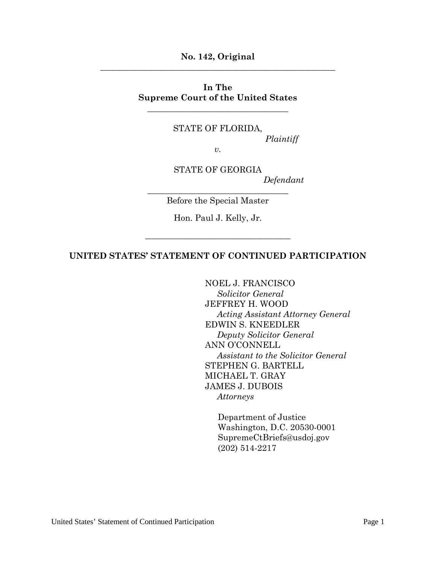**No. 142, Original \_\_\_\_\_\_\_\_\_\_\_\_\_\_\_\_\_\_\_\_\_\_\_\_\_\_\_\_\_\_\_\_\_\_\_\_\_\_\_\_\_\_\_\_\_\_\_\_\_\_\_\_\_\_\_**

#### **In The Supreme Court of the United States**

\_\_\_\_\_\_\_\_\_\_\_\_\_\_\_\_\_\_\_\_\_\_\_\_\_\_\_\_\_\_\_\_\_

STATE OF FLORIDA,

*Plaintiff*

*v.*

STATE OF GEORGIA *Defendant*

\_\_\_\_\_\_\_\_\_\_\_\_\_\_\_\_\_\_\_\_\_\_\_\_\_\_\_\_\_\_\_\_\_ Before the Special Master

Hon. Paul J. Kelly, Jr.

*\_\_\_\_\_\_\_\_\_\_\_\_\_\_\_\_\_\_\_\_\_\_\_\_\_\_\_\_\_\_\_\_\_\_*

#### **UNITED STATES' STATEMENT OF CONTINUED PARTICIPATION**

NOEL J. FRANCISCO *Solicitor General* JEFFREY H. WOOD *Acting Assistant Attorney General* EDWIN S. KNEEDLER *Deputy Solicitor General* ANN O'CONNELL *Assistant to the Solicitor General* STEPHEN G. BARTELL MICHAEL T. GRAY JAMES J. DUBOIS *Attorneys*

Department of Justice Washington, D.C. 20530-0001 SupremeCtBriefs@usdoj.gov (202) 514-2217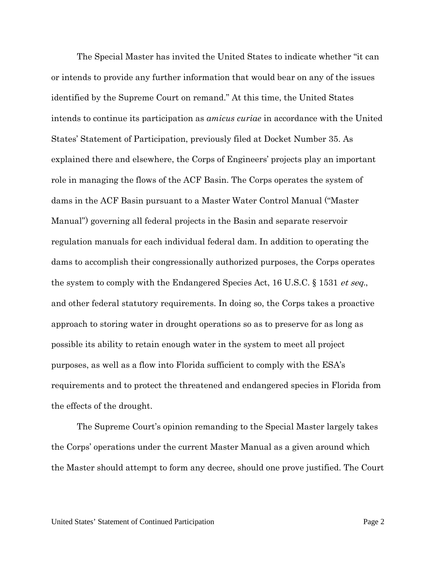The Special Master has invited the United States to indicate whether "it can or intends to provide any further information that would bear on any of the issues identified by the Supreme Court on remand." At this time, the United States intends to continue its participation as *amicus curiae* in accordance with the United States' Statement of Participation, previously filed at Docket Number 35. As explained there and elsewhere, the Corps of Engineers' projects play an important role in managing the flows of the ACF Basin. The Corps operates the system of dams in the ACF Basin pursuant to a Master Water Control Manual ("Master Manual") governing all federal projects in the Basin and separate reservoir regulation manuals for each individual federal dam. In addition to operating the dams to accomplish their congressionally authorized purposes, the Corps operates the system to comply with the Endangered Species Act, 16 U.S.C. § 1531 *et seq.*, and other federal statutory requirements. In doing so, the Corps takes a proactive approach to storing water in drought operations so as to preserve for as long as possible its ability to retain enough water in the system to meet all project purposes, as well as a flow into Florida sufficient to comply with the ESA's requirements and to protect the threatened and endangered species in Florida from the effects of the drought.

The Supreme Court's opinion remanding to the Special Master largely takes the Corps' operations under the current Master Manual as a given around which the Master should attempt to form any decree, should one prove justified. The Court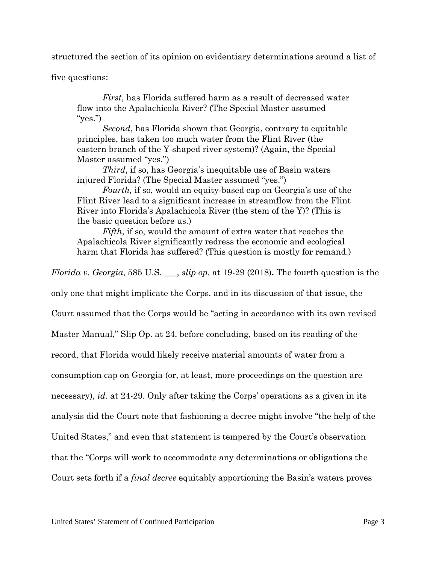structured the section of its opinion on evidentiary determinations around a list of

five questions:

*First*, has Florida suffered harm as a result of decreased water flow into the Apalachicola River? (The Special Master assumed "yes.")

*Second*, has Florida shown that Georgia, contrary to equitable principles, has taken too much water from the Flint River (the eastern branch of the Y-shaped river system)? (Again, the Special Master assumed "yes.")

*Third*, if so, has Georgia's inequitable use of Basin waters injured Florida? (The Special Master assumed "yes.")

*Fourth,* if so, would an equity-based cap on Georgia's use of the Flint River lead to a significant increase in streamflow from the Flint River into Florida's Apalachicola River (the stem of the Y)? (This is the basic question before us.)

*Fifth*, if so, would the amount of extra water that reaches the Apalachicola River significantly redress the economic and ecological harm that Florida has suffered? (This question is mostly for remand.)

*Florida v. Georgia*, 585 U.S. \_\_\_, *slip op.* at 19-29 (2018)**.** The fourth question is the

only one that might implicate the Corps, and in its discussion of that issue, the

Court assumed that the Corps would be "acting in accordance with its own revised

Master Manual," Slip Op. at 24, before concluding, based on its reading of the

record, that Florida would likely receive material amounts of water from a

consumption cap on Georgia (or, at least, more proceedings on the question are

necessary), *id.* at 24-29. Only after taking the Corps' operations as a given in its

analysis did the Court note that fashioning a decree might involve "the help of the

United States," and even that statement is tempered by the Court's observation

that the "Corps will work to accommodate any determinations or obligations the

Court sets forth if a *final decree* equitably apportioning the Basin's waters proves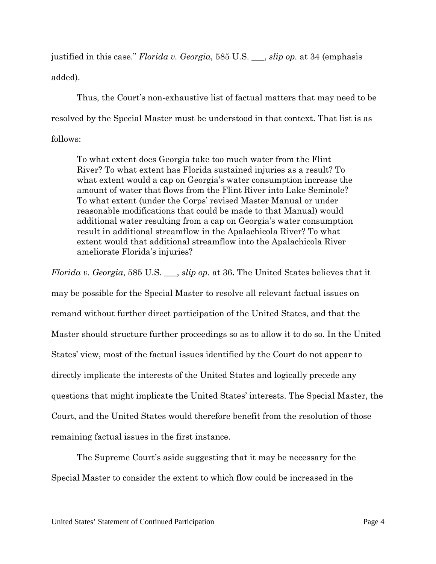justified in this case." *Florida v. Georgia*, 585 U.S. \_\_\_, *slip op.* at 34 (emphasis added).

Thus, the Court's non-exhaustive list of factual matters that may need to be resolved by the Special Master must be understood in that context. That list is as follows:

To what extent does Georgia take too much water from the Flint River? To what extent has Florida sustained injuries as a result? To what extent would a cap on Georgia's water consumption increase the amount of water that flows from the Flint River into Lake Seminole? To what extent (under the Corps' revised Master Manual or under reasonable modifications that could be made to that Manual) would additional water resulting from a cap on Georgia's water consumption result in additional streamflow in the Apalachicola River? To what extent would that additional streamflow into the Apalachicola River ameliorate Florida's injuries?

*Florida v. Georgia*, 585 U.S. \_\_\_, *slip op.* at 36**.** The United States believes that it may be possible for the Special Master to resolve all relevant factual issues on remand without further direct participation of the United States, and that the Master should structure further proceedings so as to allow it to do so. In the United States' view, most of the factual issues identified by the Court do not appear to directly implicate the interests of the United States and logically precede any questions that might implicate the United States' interests. The Special Master, the Court, and the United States would therefore benefit from the resolution of those remaining factual issues in the first instance.

The Supreme Court's aside suggesting that it may be necessary for the Special Master to consider the extent to which flow could be increased in the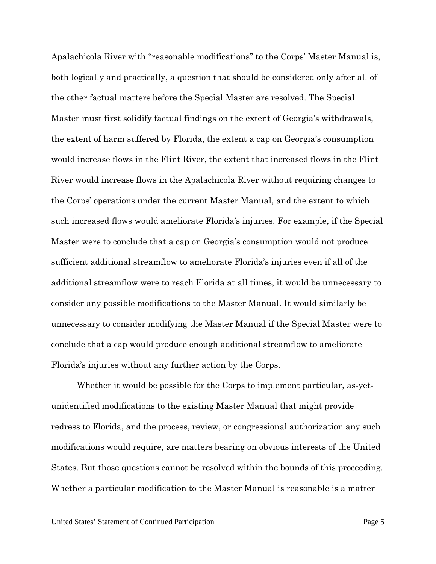Apalachicola River with "reasonable modifications" to the Corps' Master Manual is, both logically and practically, a question that should be considered only after all of the other factual matters before the Special Master are resolved. The Special Master must first solidify factual findings on the extent of Georgia's withdrawals, the extent of harm suffered by Florida, the extent a cap on Georgia's consumption would increase flows in the Flint River, the extent that increased flows in the Flint River would increase flows in the Apalachicola River without requiring changes to the Corps' operations under the current Master Manual, and the extent to which such increased flows would ameliorate Florida's injuries. For example, if the Special Master were to conclude that a cap on Georgia's consumption would not produce sufficient additional streamflow to ameliorate Florida's injuries even if all of the additional streamflow were to reach Florida at all times, it would be unnecessary to consider any possible modifications to the Master Manual. It would similarly be unnecessary to consider modifying the Master Manual if the Special Master were to conclude that a cap would produce enough additional streamflow to ameliorate Florida's injuries without any further action by the Corps.

Whether it would be possible for the Corps to implement particular, as-yetunidentified modifications to the existing Master Manual that might provide redress to Florida, and the process, review, or congressional authorization any such modifications would require, are matters bearing on obvious interests of the United States. But those questions cannot be resolved within the bounds of this proceeding. Whether a particular modification to the Master Manual is reasonable is a matter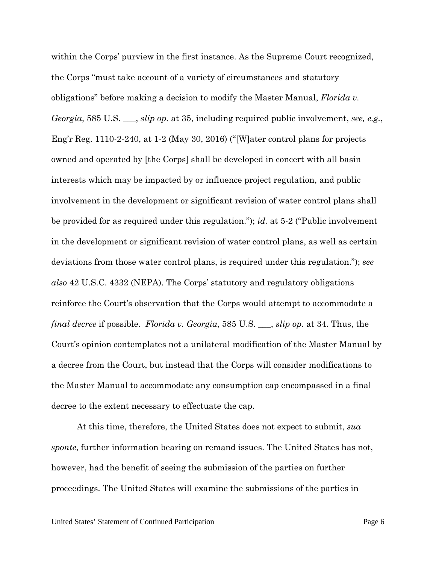within the Corps' purview in the first instance. As the Supreme Court recognized, the Corps "must take account of a variety of circumstances and statutory obligations" before making a decision to modify the Master Manual, *Florida v. Georgia*, 585 U.S. \_\_\_, *slip op.* at 35, including required public involvement, *see, e.g.*, Eng'r Reg. 1110-2-240, at 1-2 (May 30, 2016) ("[W]ater control plans for projects owned and operated by [the Corps] shall be developed in concert with all basin interests which may be impacted by or influence project regulation, and public involvement in the development or significant revision of water control plans shall be provided for as required under this regulation."); *id.* at 5-2 ("Public involvement in the development or significant revision of water control plans, as well as certain deviations from those water control plans, is required under this regulation."); *see also* 42 U.S.C. 4332 (NEPA). The Corps' statutory and regulatory obligations reinforce the Court's observation that the Corps would attempt to accommodate a *final decree* if possible. *Florida v. Georgia*, 585 U.S. \_\_\_, *slip op.* at 34. Thus, the Court's opinion contemplates not a unilateral modification of the Master Manual by a decree from the Court, but instead that the Corps will consider modifications to the Master Manual to accommodate any consumption cap encompassed in a final decree to the extent necessary to effectuate the cap.

At this time, therefore, the United States does not expect to submit, *sua sponte*, further information bearing on remand issues. The United States has not, however, had the benefit of seeing the submission of the parties on further proceedings. The United States will examine the submissions of the parties in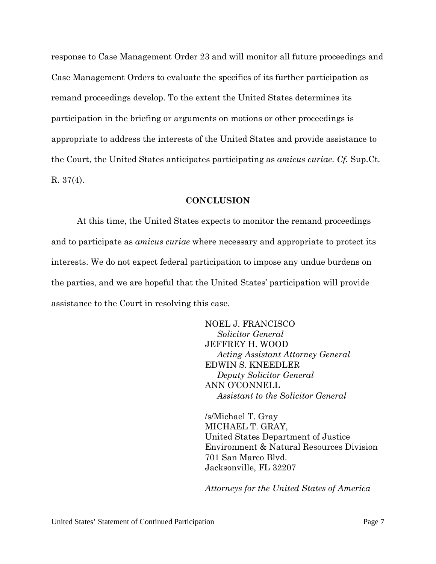response to Case Management Order 23 and will monitor all future proceedings and Case Management Orders to evaluate the specifics of its further participation as remand proceedings develop. To the extent the United States determines its participation in the briefing or arguments on motions or other proceedings is appropriate to address the interests of the United States and provide assistance to the Court, the United States anticipates participating as *amicus curiae*. *Cf.* Sup.Ct. R. 37(4).

#### **CONCLUSION**

At this time, the United States expects to monitor the remand proceedings and to participate as *amicus curiae* where necessary and appropriate to protect its interests. We do not expect federal participation to impose any undue burdens on the parties, and we are hopeful that the United States' participation will provide assistance to the Court in resolving this case.

> NOEL J. FRANCISCO *Solicitor General* JEFFREY H. WOOD *Acting Assistant Attorney General* EDWIN S. KNEEDLER *Deputy Solicitor General* ANN O'CONNELL *Assistant to the Solicitor General*

/s/Michael T. Gray MICHAEL T. GRAY, United States Department of Justice Environment & Natural Resources Division 701 San Marco Blvd. Jacksonville, FL 32207

*Attorneys for the United States of America*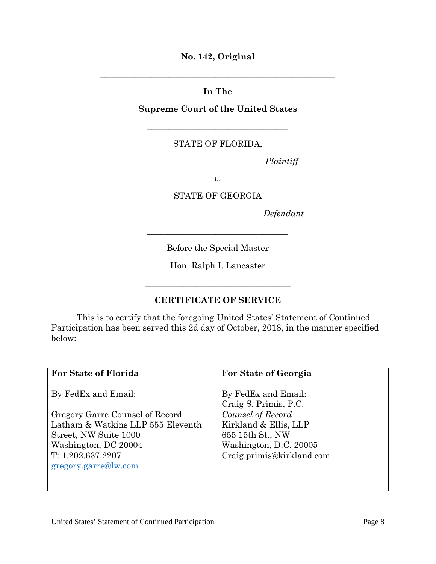**No. 142, Original**

**\_\_\_\_\_\_\_\_\_\_\_\_\_\_\_\_\_\_\_\_\_\_\_\_\_\_\_\_\_\_\_\_\_\_\_\_\_\_\_\_\_\_\_\_\_\_\_\_\_\_\_\_\_\_\_**

# **In The**

### **Supreme Court of the United States**

\_\_\_\_\_\_\_\_\_\_\_\_\_\_\_\_\_\_\_\_\_\_\_\_\_\_\_\_\_\_\_\_\_

## STATE OF FLORIDA,

*Plaintiff*

*v.*

#### STATE OF GEORGIA

*Defendant*

Before the Special Master

\_\_\_\_\_\_\_\_\_\_\_\_\_\_\_\_\_\_\_\_\_\_\_\_\_\_\_\_\_\_\_\_\_

Hon. Ralph I. Lancaster

*\_\_\_\_\_\_\_\_\_\_\_\_\_\_\_\_\_\_\_\_\_\_\_\_\_\_\_\_\_\_\_\_\_\_*

## **CERTIFICATE OF SERVICE**

This is to certify that the foregoing United States' Statement of Continued Participation has been served this 2d day of October, 2018, in the manner specified below:

| For State of Florida              | For State of Georgia                         |
|-----------------------------------|----------------------------------------------|
| By FedEx and Email:               | By FedEx and Email:<br>Craig S. Primis, P.C. |
| Gregory Garre Counsel of Record   | Counsel of Record                            |
| Latham & Watkins LLP 555 Eleventh | Kirkland & Ellis, LLP                        |
| Street, NW Suite 1000             | 655 15th St., NW                             |
| Washington, DC 20004              | Washington, D.C. 20005                       |
| T: 1.202.637.2207                 | Craig.primis@kirkland.com                    |
| gregory.garre@lw.com              |                                              |
|                                   |                                              |
|                                   |                                              |